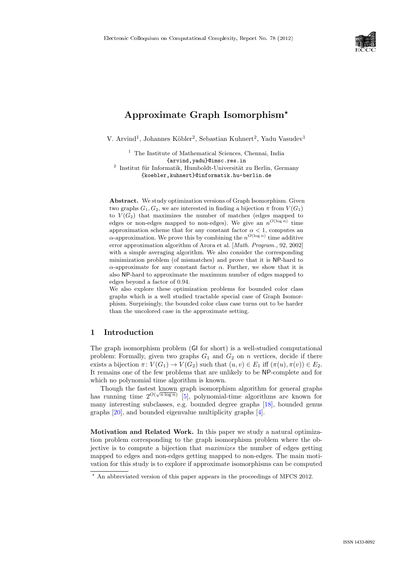

# Approximate Graph Isomorphism<sup>\*</sup>

V. Arvind<sup>1</sup>, Johannes Köbler<sup>2</sup>, Sebastian Kuhnert<sup>2</sup>, Yadu Vasudev<sup>1</sup>

 $^{\rm 1}$  The Institute of Mathematical Sciences, Chennai, India {arvind,yadu}@imsc.res.in

 $2$  Institut für Informatik, Humboldt-Universität zu Berlin, Germany {koebler,kuhnert}@informatik.hu-berlin.de

Abstract. We study optimization versions of Graph Isomorphism. Given two graphs  $G_1, G_2$ , we are interested in finding a bijection  $\pi$  from  $V(G_1)$ to  $V(G_2)$  that maximizes the number of matches (edges mapped to edges or non-edges mapped to non-edges). We give an  $n^{O(\log n)}$  time approximation scheme that for any constant factor  $\alpha < 1$ , computes an  $\alpha$ -approximation. We prove this by combining the  $n^{O(\log n)}$  time additive error approximation algorithm of Arora et al. [Math. Program., 92, 2002] with a simple averaging algorithm. We also consider the corresponding minimization problem (of mismatches) and prove that it is NP-hard to  $\alpha$ -approximate for any constant factor  $\alpha$ . Further, we show that it is also NP-hard to approximate the maximum number of edges mapped to edges beyond a factor of 0.94.

We also explore these optimization problems for bounded color class graphs which is a well studied tractable special case of Graph Isomorphism. Surprisingly, the bounded color class case turns out to be harder than the uncolored case in the approximate setting.

#### 1 Introduction

The graph isomorphism problem (GI for short) is a well-studied computational problem: Formally, given two graphs  $G_1$  and  $G_2$  on n vertices, decide if there exists a bijection  $\pi: V(G_1) \to V(G_2)$  such that  $(u, v) \in E_1$  iff  $(\pi(u), \pi(v)) \in E_2$ . It remains one of the few problems that are unlikely to be NP-complete and for which no polynomial time algorithm is known.

Though the fastest known graph isomorphism algorithm for general graphs has running time  $2^{O(\sqrt{n \log n})}$  [\[5\]](#page--1-0), polynomial-time algorithms are known for many interesting subclasses, e.g. bounded degree graphs [\[18\]](#page--1-1), bounded genus graphs [\[20\]](#page--1-2), and bounded eigenvalue multiplicity graphs [\[4\]](#page--1-3).

Motivation and Related Work. In this paper we study a natural optimization problem corresponding to the graph isomorphism problem where the objective is to compute a bijection that maximizes the number of edges getting mapped to edges and non-edges getting mapped to non-edges. The main motivation for this study is to explore if approximate isomorphisms can be computed

<sup>⋆</sup> An abbreviated version of this paper appears in the proceedings of MFCS 2012.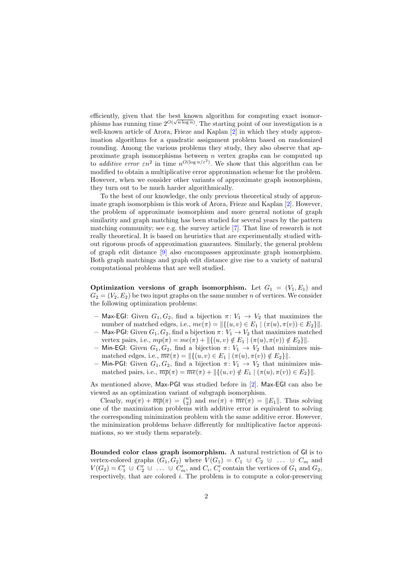efficiently, given that the best known algorithm for computing exact isomorphisms has running time  $2^{O(\sqrt{n \log n})}$ . The starting point of our investigation is a well-known article of Arora, Frieze and Kaplan [\[2\]](#page-13-0) in which they study approximation algorithms for a quadratic assignment problem based on randomized rounding. Among the various problems they study, they also observe that approximate graph isomorphisms between  $n$  vertex graphs can be computed up to *additive error*  $\epsilon n^2$  in time  $n^{O(\log n/\epsilon^2)}$ . We show that this algorithm can be modified to obtain a multiplicative error approximation scheme for the problem. However, when we consider other variants of approximate graph isomorphism, they turn out to be much harder algorithmically.

To the best of our knowledge, the only previous theoretical study of approximate graph isomorphism is this work of Arora, Frieze and Kaplan [\[2\]](#page-13-0). However, the problem of approximate isomorphism and more general notions of graph similarity and graph matching has been studied for several years by the pattern matching community; see e.g. the survey article [\[7\]](#page--1-4). That line of research is not really theoretical. It is based on heuristics that are experimentally studied without rigorous proofs of approximation guarantees. Similarly, the general problem of graph edit distance [\[9\]](#page--1-5) also encompasses approximate graph isomorphism. Both graph matchings and graph edit distance give rise to a variety of natural computational problems that are well studied.

**Optimization versions of graph isomorphism.** Let  $G_1 = (V_1, E_1)$  and  $G_2 = (V_2, E_2)$  be two input graphs on the same number n of vertices. We consider the following optimization problems:

- Max-EGI: Given  $G_1, G_2$ , find a bijection  $\pi: V_1 \to V_2$  that maximizes the number of matched edges, i.e.,  $me(\pi) = ||\{(u, v) \in E_1 \mid (\pi(u), \pi(v)) \in E_2\}||.$
- Max-PGI: Given  $G_1, G_2$ , find a bijection  $\pi: V_1 \to V_2$  that maximizes matched vertex pairs, i.e.,  $mp(\pi) = me(\pi) + ||\{(u, v) \notin E_1 \mid (\pi(u), \pi(v)) \notin E_2\}||.$
- Min-EGI: Given  $G_1, G_2$ , find a bijection  $\pi: V_1 \to V_2$  that minimizes mismatched edges, i.e.,  $\overline{me}(\pi) = ||\{(u, v) \in E_1 \mid (\pi(u), \pi(v)) \notin E_2\}||.$
- Min-PGI: Given  $G_1, G_2$ , find a bijection  $\pi: V_1 \to V_2$  that minimizes mismatched pairs, i.e.,  $\overline{mp}(\pi) = \overline{me}(\pi) + ||\{(u, v) \notin E_1 \mid (\pi(u), \pi(v)) \in E_2\}||.$

As mentioned above, Max-PGI was studied before in [\[2\]](#page-13-0). Max-EGI can also be viewed as an optimization variant of subgraph isomorphism.

Clearly,  $mp(\pi) + \overline{mp}(\pi) = \binom{n}{2}$  and  $me(\pi) + \overline{me}(\pi) = ||E_1||$ . Thus solving one of the maximization problems with additive error is equivalent to solving the corresponding minimization problem with the same additive error. However, the minimization problems behave differently for multiplicative factor approximations, so we study them separately.

Bounded color class graph isomorphism. A natural restriction of GI is to vertex-colored graphs  $(G_1, G_2)$  where  $V(G_1) = C_1 \cup C_2 \cup ... \cup C_m$  and  $V(G_2) = C'_1 \cup C'_2 \cup \ldots \cup C'_m$ , and  $C_i, C'_i$  contain the vertices of  $G_1$  and  $G_2$ , respectively, that are colored i. The problem is to compute a color-preserving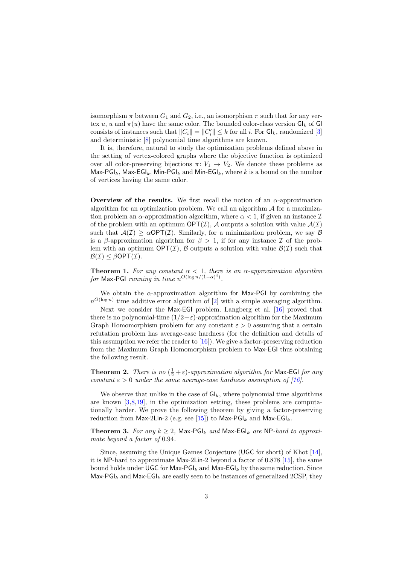isomorphism  $\pi$  between  $G_1$  and  $G_2$ , i.e., an isomorphism  $\pi$  such that for any vertex u, u and  $\pi(u)$  have the same color. The bounded color-class version  $G_k$  of GI consists of instances such that  $||C_i|| = ||C_i'|| \leq k$  for all i. For  $Gl_k$ , randomized [\[3\]](#page-13-1) and deterministic [\[8\]](#page--1-6) polynomial time algorithms are known.

It is, therefore, natural to study the optimization problems defined above in the setting of vertex-colored graphs where the objective function is optimized over all color-preserving bijections  $\pi: V_1 \to V_2$ . We denote these problems as Max-PGI<sub>k</sub>, Max-EGI<sub>k</sub>, Min-PGI<sub>k</sub> and Min-EGI<sub>k</sub>, where k is a bound on the number of vertices having the same color.

Overview of the results. We first recall the notion of an  $\alpha$ -approximation algorithm for an optimization problem. We call an algorithm  $A$  for a maximization problem an  $\alpha$ -approximation algorithm, where  $\alpha < 1$ , if given an instance  $\mathcal I$ of the problem with an optimum  $\mathsf{OPT}(\mathcal{I})$ , A outputs a solution with value  $\mathcal{A}(\mathcal{I})$ such that  $A(\mathcal{I}) > \alpha \text{OPT}(\mathcal{I})$ . Similarly, for a minimization problem, we say  $\beta$ is a β-approximation algorithm for  $\beta > 1$ , if for any instance  $\mathcal I$  of the problem with an optimum  $\mathsf{OPT}(\mathcal{I})$ , B outputs a solution with value  $\mathcal{B}(\mathcal{I})$  such that  $\mathcal{B}(\mathcal{I}) < \beta \text{OPT}(\mathcal{I}).$ 

<span id="page-2-0"></span>**Theorem 1.** For any constant  $\alpha < 1$ , there is an  $\alpha$ -approximation algorithm for Max-PGI running in time  $n^{O(\log n/(1-\alpha)^4)}$ .

We obtain the  $\alpha$ -approximation algorithm for Max-PGI by combining the  $n^{O(\log n)}$  time additive error algorithm of [\[2\]](#page-13-0) with a simple averaging algorithm.

Next we consider the Max-EGI problem. Langberg et al. [\[16\]](#page--1-7) proved that there is no polynomial-time  $(1/2+\varepsilon)$ -approximation algorithm for the Maximum Graph Homomorphism problem for any constant  $\varepsilon > 0$  assuming that a certain refutation problem has average-case hardness (for the definition and details of this assumption we refer the reader to  $[16]$ . We give a factor-preserving reduction from the Maximum Graph Homomorphism problem to Max-EGI thus obtaining the following result.

<span id="page-2-1"></span>**Theorem 2.** There is no  $(\frac{1}{2} + \varepsilon)$ -approximation algorithm for Max-EGI for any constant  $\varepsilon > 0$  under the same average-case hardness assumption of [\[16\]](#page--1-7).

We observe that unlike in the case of  $\mathsf{GI}_k$ , where polynomial time algorithms are known [\[3](#page-13-1)[,8,](#page--1-6)[19\]](#page--1-8), in the optimization setting, these problems are computationally harder. We prove the following theorem by giving a factor-preserving reduction from Max-2Lin-2 (e.g. see [\[15\]](#page--1-9)) to Max-PGI<sub>k</sub> and Max-EGI<sub>k</sub>.

<span id="page-2-2"></span>**Theorem 3.** For any  $k > 2$ , Max-PGI<sub>k</sub> and Max-EGI<sub>k</sub> are NP-hard to approximate beyond a factor of 0.94.

Since, assuming the Unique Games Conjecture (UGC for short) of Khot [\[14\]](#page--1-10), it is NP-hard to approximate Max-2Lin-2 beyond a factor of 0.878 [\[15\]](#page--1-9), the same bound holds under UGC for Max-PGI<sub>k</sub> and Max-EGI<sub>k</sub> by the same reduction. Since Max-PGI<sub>k</sub> and Max-EGI<sub>k</sub> are easily seen to be instances of generalized 2CSP, they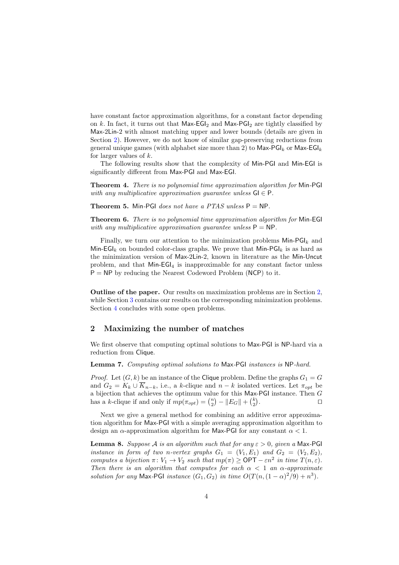have constant factor approximation algorithms, for a constant factor depending on k. In fact, it turns out that  $Max-EGI<sub>2</sub>$  and  $Max-PGI<sub>2</sub>$  are tightly classified by Max-2Lin-2 with almost matching upper and lower bounds (details are given in Section [2\)](#page-3-0). However, we do not know of similar gap-preserving reductions from general unique games (with alphabet size more than 2) to  $\textsf{Max-PSL}_k$  or  $\textsf{Max-EGL}_k$ for larger values of  $k$ .

<span id="page-3-2"></span>The following results show that the complexity of Min-PGI and Min-EGI is significantly different from Max-PGI and Max-EGI.

Theorem 4. There is no polynomial time approximation algorithm for Min-PGI with any multiplicative approximation guarantee unless  $GI \in P$ .

<span id="page-3-4"></span><span id="page-3-3"></span>**Theorem 5.** Min-PGI does not have a PTAS unless  $P = NP$ .

**Theorem 6.** There is no polynomial time approximation algorithm for Min-EGI with any multiplicative approximation quarantee unless  $P = NP$ .

Finally, we turn our attention to the minimization problems  $\mathsf{Min-PGI}_k$  and Min-EGI<sub>k</sub> on bounded color-class graphs. We prove that  $Min-PGI_k$  is as hard as the minimization version of Max-2Lin-2, known in literature as the Min-Uncut problem, and that  $Min$ - $EGI_4$  is inapproximable for any constant factor unless  $P = NP$  by reducing the Nearest Codeword Problem (NCP) to it.

Outline of the paper. Our results on maximization problems are in Section [2,](#page-3-0) while Section [3](#page-8-0) contains our results on the corresponding minimization problems. Section [4](#page-13-2) concludes with some open problems.

### <span id="page-3-0"></span>2 Maximizing the number of matches

We first observe that computing optimal solutions to Max-PGI is NP-hard via a reduction from Clique.

Lemma 7. Computing optimal solutions to Max-PGI instances is NP-hard.

*Proof.* Let  $(G, k)$  be an instance of the Clique problem. Define the graphs  $G_1 = G$ and  $G_2 = K_k \cup \overline{K}_{n-k}$ , i.e., a k-clique and  $n-k$  isolated vertices. Let  $\pi_{\text{out}}$  be a bijection that achieves the optimum value for this Max-PGI instance. Then G has a k-clique if and only if  $mp(\pi_{opt}) = \binom{n}{2} - ||E_G|| + \binom{k}{2}$ . ⊓⊔

Next we give a general method for combining an additive error approximation algorithm for Max-PGI with a simple averaging approximation algorithm to design an  $\alpha$ -approximation algorithm for Max-PGI for any constant  $\alpha < 1$ .

<span id="page-3-1"></span>**Lemma 8.** Suppose A is an algorithm such that for any  $\varepsilon > 0$ , given a Max-PGI instance in form of two n-vertex graphs  $G_1 = (V_1, E_1)$  and  $G_2 = (V_2, E_2)$ , computes a bijection  $\pi: V_1 \to V_2$  such that  $mp(\pi) \ge \text{OPT} - \varepsilon n^2$  in time  $T(n, \varepsilon)$ . Then there is an algorithm that computes for each  $\alpha < 1$  an  $\alpha$ -approximate solution for any Max-PGI instance  $(G_1, G_2)$  in time  $O(T(n, (1 - \alpha)^2/9) + n^3)$ .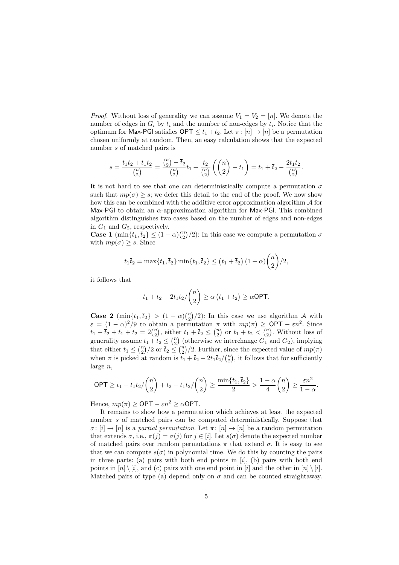*Proof.* Without loss of generality we can assume  $V_1 = V_2 = [n]$ . We denote the number of edges in  $G_i$  by  $t_i$  and the number of non-edges by  $\bar{t}_i$ . Notice that the optimum for Max-PGI satisfies  $\mathsf{OPT} \leq t_1 + \overline{t}_2$ . Let  $\pi : [n] \to [n]$  be a permutation chosen uniformly at random. Then, an easy calculation shows that the expected number s of matched pairs is

$$
s = \frac{t_1 t_2 + \overline{t}_1 \overline{t}_2}{\binom{n}{2}} = \frac{\binom{n}{2} - \overline{t}_2}{\binom{n}{2}} t_1 + \frac{\overline{t}_2}{\binom{n}{2}} \left( \binom{n}{2} - t_1 \right) = t_1 + \overline{t}_2 - \frac{2t_1 \overline{t}_2}{\binom{n}{2}}.
$$

It is not hard to see that one can deterministically compute a permutation  $\sigma$ such that  $mp(\sigma) \geq s$ ; we defer this detail to the end of the proof. We now show how this can be combined with the additive error approximation algorithm  $\mathcal A$  for Max-PGI to obtain an  $\alpha$ -approximation algorithm for Max-PGI. This combined algorithm distinguishes two cases based on the number of edges and non-edges in  $G_1$  and  $G_2$ , respectively.

**Case 1** (min $\{t_1, \overline{t}_2\} \leq (1 - \alpha) {n \choose 2} / 2$ ): In this case we compute a permutation  $\sigma$ with  $mp(\sigma) \geq s$ . Since

$$
t_1\overline{t}_2 = \max\{t_1, \overline{t}_2\} \min\{t_1, \overline{t}_2\} \le (t_1 + \overline{t}_2) (1 - \alpha) \binom{n}{2} / 2,
$$

it follows that

$$
t_1 + \overline{t}_2 - 2t_1\overline{t}_2 / \binom{n}{2} \ge \alpha \left( t_1 + \overline{t}_2 \right) \ge \alpha \textsf{OPT}.
$$

**Case 2**  $(\min\{t_1, \overline{t}_2\}) > (1 - \alpha)\binom{n}{2}/2$ : In this case we use algorithm A with  $\varepsilon = (1 - \alpha)^2/9$  to obtain a permutation  $\pi$  with  $mp(\pi) \geq \text{OPT} - \varepsilon n^2$ . Since  $t_1 + \bar{t}_2 + \bar{t}_1 + t_2 = 2\binom{n}{2}$ , either  $t_1 + \bar{t}_2 \leq \binom{n}{2}$  or  $\bar{t}_1 + t_2 < \binom{n}{2}$ . Without loss of generality assume  $t_1 + \overline{t}_2 \leq {n \choose 2}$  (otherwise we interchange  $G_1$  and  $G_2$ ), implying that either  $t_1 \leq {n \choose 2}/2$  or  $\overline{t}_2 \leq {n \choose 2}/2$ . Further, since the expected value of  $mp(\pi)$ when  $\pi$  is picked at random is  $\tilde{t}_1 + \tilde{t}_2 - 2t_1 \tilde{t}_2 / \binom{n}{2}$ , it follows that for sufficiently large n,

$$
\mathsf{OPT} \geq t_1-t_1\overline{t}_2/\binom{n}{2}+\overline{t}_2-t_1\overline{t}_2/\binom{n}{2} \geq \frac{\min\{t_1,\overline{t}_2\}}{2} > \frac{1-\alpha}{4}\binom{n}{2} \geq \frac{\varepsilon n^2}{1-\alpha}.
$$

Hence,  $mp(\pi) \geq \text{OPT} - \varepsilon n^2 \geq \alpha \text{OPT}$ .

It remains to show how a permutation which achieves at least the expected number s of matched pairs can be computed deterministically. Suppose that  $\sigma: [i] \to [n]$  is a partial permutation. Let  $\pi: [n] \to [n]$  be a random permutation that extends  $\sigma$ , i.e.,  $\pi(j) = \sigma(j)$  for  $j \in [i]$ . Let  $s(\sigma)$  denote the expected number of matched pairs over random permutations  $\pi$  that extend  $\sigma$ . It is easy to see that we can compute  $s(\sigma)$  in polynomial time. We do this by counting the pairs in three parts: (a) pairs with both end points in  $[i]$ , (b) pairs with both end points in  $[n] \setminus [i]$ , and (c) pairs with one end point in  $[i]$  and the other in  $[n] \setminus [i]$ . Matched pairs of type (a) depend only on  $\sigma$  and can be counted straightaway.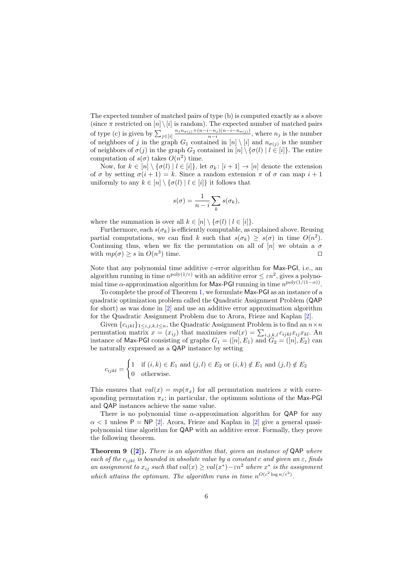The expected number of matched pairs of type (b) is computed exactly as s above (since  $\pi$  restricted on  $[n] \setminus [i]$  is random). The expected number of matched pairs of type (c) is given by  $\sum_{j \in [i]}$  $n_j n_{\sigma(j)} + (n-i-n_j)(n-i-n_{\sigma(j)})$  $\frac{n-n_j(n-1-n_{\sigma(j)})}{n-i}$ , where  $n_j$  is the number of neighbors of j in the graph  $G_1$  contained in  $[n] \setminus [i]$  and  $n_{\sigma(j)}$  is the number of neighbors of  $\sigma(j)$  in the graph  $G_2$  contained in  $[n] \setminus {\{\sigma(l) | l \in [i]\}}$ . The entire computation of  $s(\sigma)$  takes  $O(n^2)$  time.

Now, for  $k \in [n] \setminus {\{\sigma(l) | l \in [i]\}}$ , let  $\sigma_k : [i+1] \to [n]$  denote the extension of  $\sigma$  by setting  $\sigma(i + 1) = k$ . Since a random extension  $\pi$  of  $\sigma$  can map  $i + 1$ uniformly to any  $k \in [n] \setminus {\{\sigma(l) | l \in [i]\}}$  it follows that

$$
s(\sigma) = \frac{1}{n-i} \sum_{k} s(\sigma_k),
$$

where the summation is over all  $k \in [n] \setminus {\{\sigma(l) | l \in [i]\}}$ .

Furthermore, each  $s(\sigma_k)$  is efficiently computable, as explained above. Reusing partial computations, we can find k such that  $s(\sigma_k) \geq s(\sigma)$  in time  $O(n^2)$ . Continuing thus, when we fix the permutation on all of  $[n]$  we obtain a  $\sigma$ with  $mp(\sigma) \geq s$  in  $O(n^3)$  time.  $□$ 

Note that any polynomial time additive  $\varepsilon$ -error algorithm for Max-PGI, i.e., an algorithm running in time  $n^{\text{poly}(1/\varepsilon)}$  with an additive error  $\leq \varepsilon n^2$ , gives a polynomial time  $\alpha$ -approximation algorithm for Max-PGI running in time  $n^{\text{poly}(1/(1-\alpha))}$ .

To complete the proof of Theorem [1,](#page-2-0) we formulate Max-PGI as an instance of a quadratic optimization problem called the Quadratic Assignment Problem (QAP for short) as was done in [\[2\]](#page-13-0) and use an additive error approximation algorithm for the Quadratic Assignment Problem due to Arora, Frieze and Kaplan [\[2\]](#page-13-0).

Given  $\{c_{ijkl}\}_{1\leq i,j,k,l\leq n}$ , the Quadratic Assignment Problem is to find an  $n\times n$ permutation matrix  $x = (x_{ij})$  that maximizes  $val(x) = \sum_{i,j,k,l} c_{ijkl} x_{ij} x_{kl}$ . An instance of Max-PGI consisting of graphs  $G_1 = ([n], E_1)$  and  $G_2 = ([n], E_2)$  can be naturally expressed as a QAP instance by setting

$$
c_{ijkl} = \begin{cases} 1 & \text{if } (i,k) \in E_1 \text{ and } (j,l) \in E_2 \text{ or } (i,k) \notin E_1 \text{ and } (j,l) \notin E_2 \\ 0 & \text{otherwise.} \end{cases}
$$

This ensures that  $val(x) = mp(\pi_x)$  for all permutation matrices x with corresponding permutation  $\pi_x$ ; in particular, the optimum solutions of the Max-PGI and QAP instances achieve the same value.

There is no polynomial time  $\alpha$ -approximation algorithm for QAP for any  $\alpha$  < 1 unless P = NP [\[2\]](#page-13-0). Arora, Frieze and Kaplan in [\[2\]](#page-13-0) give a general quasipolynomial time algorithm for QAP with an additive error. Formally, they prove the following theorem.

<span id="page-5-0"></span>**Theorem 9** ([\[2\]](#page-13-0)). There is an algorithm that, given an instance of  $QAP$  where each of the  $c_{ijkl}$  is bounded in absolute value by a constant c and given an  $\varepsilon$ , finds an assignment to  $x_{ij}$  such that  $val(x) \geq val(x^*) - \varepsilon n^2$  where  $x^*$  is the assignment which attains the optimum. The algorithm runs in time  $n^{O(c^2 \log n/\varepsilon^2)}$ .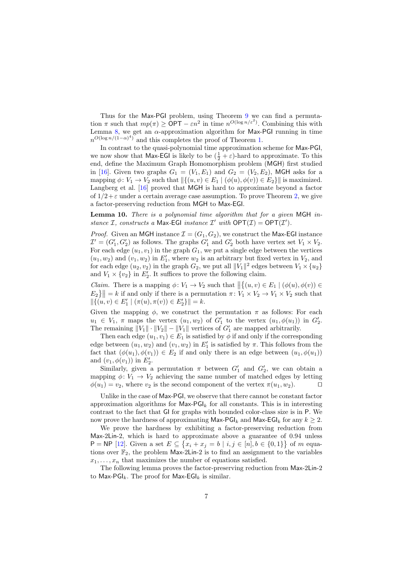Thus for the Max-PGI problem, using Theorem [9](#page-5-0) we can find a permutation  $\pi$  such that  $mp(\pi) \geq \text{OPT} - \varepsilon n^2$  in time  $n^{O(\log n/\varepsilon^2)}$ . Combining this with Lemma [8,](#page-3-1) we get an  $\alpha$ -approximation algorithm for Max-PGI running in time  $n^{O(\log n/(1-\alpha)^4)}$  and this completes the proof of Theorem [1.](#page-2-0)

In contrast to the quasi-polynomial time approximation scheme for Max-PGI, we now show that Max-EGI is likely to be  $(\frac{1}{2} + \varepsilon)$ -hard to approximate. To this end, define the Maximum Graph Homomorphism problem (MGH) first studied in [\[16\]](#page--1-7). Given two graphs  $G_1 = (V_1, E_1)$  and  $G_2 = (V_2, E_2)$ , MGH asks for a mapping  $\phi: V_1 \to V_2$  such that  $\|\{(u, v) \in E_1 \mid (\phi(u), \phi(v)) \in E_2\}\|$  is maximized. Langberg et al. [\[16\]](#page--1-7) proved that MGH is hard to approximate beyond a factor of  $1/2+\varepsilon$  under a certain average case assumption. To prove Theorem [2,](#page-2-1) we give a factor-preserving reduction from MGH to Max-EGI.

Lemma 10. There is a polynomial time algorithm that for a given MGH instance I, constructs a Max-EGI instance I' with  $\mathsf{OPT}(\mathcal{I}) = \mathsf{OPT}(\mathcal{I}')$ .

*Proof.* Given an MGH instance  $\mathcal{I} = (G_1, G_2)$ , we construct the Max-EGI instance  $\mathcal{I}' = (G'_1, G'_2)$  as follows. The graphs  $G'_1$  and  $G'_2$  both have vertex set  $V_1 \times V_2$ . For each edge  $(u_1, v_1)$  in the graph  $G_1$ , we put a single edge between the vertices  $(u_1, w_2)$  and  $(v_1, w_2)$  in  $E'_1$ , where  $w_2$  is an arbitrary but fixed vertex in  $V_2$ , and for each edge  $(u_2, v_2)$  in the graph  $G_2$ , we put all  $||V_1||^2$  edges between  $V_1 \times \{u_2\}$ and  $V_1 \times \{v_2\}$  in  $E'_2$ . It suffices to prove the following claim.

*Claim.* There is a mapping  $\phi: V_1 \to V_2$  such that  $\left\| \{(u, v) \in E_1 \mid (\phi(u), \phi(v)) \in E_2 \} \right\|$  $E_2$ } = k if and only if there is a permutation  $\pi: V_1 \times V_2 \to V_1 \times V_2$  such that  $\|\{(u, v) \in E'_1 \mid (\pi(u), \pi(v)) \in E'_2\}\| = k.$ 

Given the mapping  $\phi$ , we construct the permutation  $\pi$  as follows: For each  $u_1 \in V_1$ ,  $\pi$  maps the vertex  $(u_1, w_2)$  of  $G'_1$  to the vertex  $(u_1, \phi(u_1))$  in  $G'_2$ . The remaining  $||V_1|| \cdot ||V_2|| - ||V_1||$  vertices of  $G'_1$  are mapped arbitrarily.

Then each edge  $(u_1, v_1) \in E_1$  is satisfied by  $\phi$  if and only if the corresponding edge between  $(u_1, w_2)$  and  $(v_1, w_2)$  in  $E'_1$  is satisfied by  $\pi$ . This follows from the fact that  $(\phi(u_1), \phi(v_1)) \in E_2$  if and only there is an edge between  $(u_1, \phi(u_1))$ and  $(v_1, \phi(v_1))$  in  $E'_2$ .

Similarly, given a permutation  $\pi$  between  $G'_{1}$  and  $G'_{2}$ , we can obtain a mapping  $\phi: V_1 \to V_2$  achieving the same number of matched edges by letting  $\phi(u_1) = v_2$ , where  $v_2$  is the second component of the vertex  $\pi(u_1, w_2)$ . □

Unlike in the case of Max-PGI, we observe that there cannot be constant factor approximation algorithms for  $\text{Max-PGI}_k$  for all constants. This is in interesting contrast to the fact that GI for graphs with bounded color-class size is in P. We now prove the hardness of approximating Max-PGI<sub>k</sub> and Max-EGI<sub>k</sub> for any  $k \geq 2$ .

We prove the hardness by exhibiting a factor-preserving reduction from Max-2Lin-2, which is hard to approximate above a guarantee of 0.94 unless  $\mathsf{P} = \mathsf{NP}$  [\[12\]](#page--1-11). Given a set  $E \subseteq \{x_i + x_j = b \mid i, j \in [n], b \in \{0,1\}\}\$  of m equations over  $\mathbb{F}_2$ , the problem Max-2Lin-2 is to find an assignment to the variables  $x_1, \ldots, x_n$  that maximizes the number of equations satisfied.

<span id="page-6-0"></span>The following lemma proves the factor-preserving reduction from Max-2Lin-2 to Max-PGI<sub>k</sub>. The proof for Max-EGI<sub>k</sub> is similar.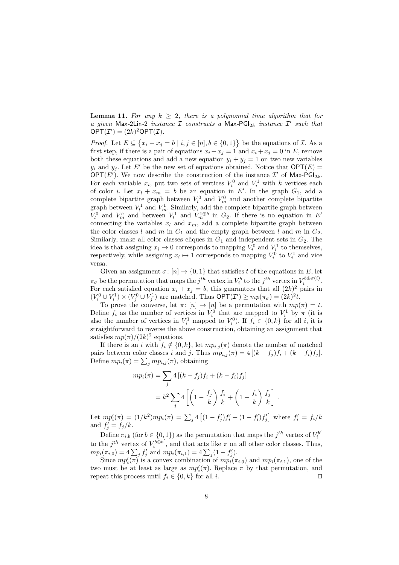**Lemma 11.** For any  $k \geq 2$ , there is a polynomial time algorithm that for a given Max-2Lin-2 instance  $\mathcal I$  constructs a Max-PGI<sub>2k</sub> instance  $\mathcal I'$  such that  $\mathsf{OPT}(\mathcal{I}') = (2k)^2 \mathsf{OPT}(\mathcal{I}).$ 

*Proof.* Let  $E \subseteq \{x_i + x_j = b \mid i, j \in [n], b \in \{0, 1\}\}\$  be the equations of  $\mathcal{I}$ . As a first step, if there is a pair of equations  $x_i + x_j = 1$  and  $x_i + x_j = 0$  in E, remove both these equations and add a new equation  $y_i + y_j = 1$  on two new variables  $y_i$  and  $y_j$ . Let E' be the new set of equations obtained. Notice that  $\mathsf{OPT}(E)$  = OPT(E'). We now describe the construction of the instance  $\mathcal{I}'$  of Max-PGI<sub>2k</sub>. For each variable  $x_i$ , put two sets of vertices  $V_i^0$  and  $V_i^1$  with k vertices each of color *i*. Let  $x_l + x_m = b$  be an equation in E'. In the graph  $G_1$ , add a complete bipartite graph between  $V_l^0$  and  $V_m^0$  and another complete bipartite graph between  $V_l^1$  and  $V_m^1$ . Similarly, add the complete bipartite graph between  $V_l^0$  and  $V_m^b$  and between  $V_l^1$  and  $V_m^{1 \oplus b}$  in  $G_2$ . If there is no equation in  $E'$ connecting the variables  $x_l$  and  $x_m$ , add a complete bipartite graph between the color classes l and m in  $G_1$  and the empty graph between l and m in  $G_2$ . Similarly, make all color classes cliques in  $G_1$  and independent sets in  $G_2$ . The idea is that assigning  $x_i \mapsto 0$  corresponds to mapping  $V_i^0$  and  $V_i^1$  to themselves, respectively, while assigning  $x_i \mapsto 1$  corresponds to mapping  $V_i^0$  to  $V_i^1$  and vice versa.

Given an assignment  $\sigma: [n] \to \{0, 1\}$  that satisfies t of the equations in E, let  $\pi_{\sigma}$  be the permutation that maps the  $j^{th}$  vertex in  $V_i^b$  to the  $j^{th}$  vertex in  $V_i^{b \oplus \sigma(i)}$ . For each satisfied equation  $x_i + x_j = b$ , this guarantees that all  $(2k)^2$  pairs in  $(V_i^0 \cup V_i^1) \times (V_j^0 \cup V_j^1)$  are matched. Thus  $\mathsf{OPT}(\mathcal{I}') \geq mp(\pi_\sigma) = (2k)^2 t$ .

To prove the converse, let  $\pi: [n] \to [n]$  be a permutation with  $mp(\pi) = t$ . Define  $f_i$  as the number of vertices in  $V_i^0$  that are mapped to  $V_i^1$  by  $\pi$  (it is also the number of vertices in  $V_i^1$  mapped to  $V_i^0$ ). If  $f_i \in \{0, k\}$  for all i, it is straightforward to reverse the above construction, obtaining an assignment that satisfies  $mp(\pi)/(2k)^2$  equations.

If there is an i with  $f_i \notin \{0, k\}$ , let  $mp_{i,j}(\pi)$  denote the number of matched pairs between color classes i and j. Thus  $mp_{i,j}(\pi) = 4 [(k - f_j) f_i + (k - f_i) f_j].$ Define  $mp_i(\pi) = \sum_j mp_{i,j}(\pi)$ , obtaining

$$
mp_i(\pi) = \sum_j 4 [(k - f_j) f_i + (k - f_i) f_j]
$$

$$
= k^2 \sum_j 4 \left[ \left( 1 - \frac{f_j}{k} \right) \frac{f_i}{k} + \left( 1 - \frac{f_i}{k} \right) \frac{f_j}{k} \right]
$$

.

Let  $mp_i'(\pi) = (1/k^2)mp_i(\pi) = \sum_j 4 [(1-f_j')f_i' + (1-f_i')f_j']$  where  $f_i' = f_i/k$ and  $f'_j = f_j/k$ .

Define  $\pi_{i,b}$  (for  $b \in \{0,1\}$ ) as the permutation that maps the  $j^{th}$  vertex of  $V_i^{b'}$ i to the  $j^{th}$  vertex of  $V_i^{\hat{b} \oplus b'}$  $\int_{i}^{\infty}$  and that acts like  $\pi$  on all other color classes. Thus,  $mp_i(\pi_{i,0}) = 4\sum_j f'_j$  and  $mp_i(\pi_{i,1}) = 4\sum_j (1 - f'_j).$ 

Since  $mp_i'(\pi)$  is a convex combination of  $mp_i(\pi_{i,0})$  and  $mp_i(\pi_{i,1})$ , one of the two must be at least as large as  $mp'_{i}(\pi)$ . Replace  $\pi$  by that permutation, and repeat this process until  $f_i \in \{0, k\}$  for all i. □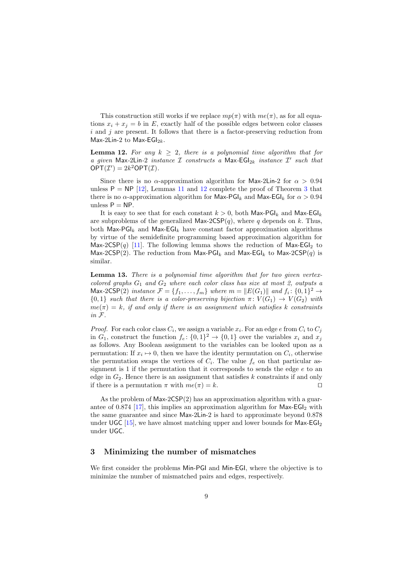This construction still works if we replace  $mp(\pi)$  with  $me(\pi)$ , as for all equations  $x_i + x_j = b$  in E, exactly half of the possible edges between color classes  $i$  and  $j$  are present. It follows that there is a factor-preserving reduction from Max-2Lin-2 to Max-EGI<sub>2k</sub>.

<span id="page-8-1"></span>**Lemma 12.** For any  $k > 2$ , there is a polynomial time algorithm that for a given Max-2Lin-2 instance  $\mathcal I$  constructs a Max-EGI<sub>2k</sub> instance  $\mathcal I'$  such that  $OPT(\mathcal{I}') = 2k^2OPT(\mathcal{I}).$ 

Since there is no  $\alpha$ -approximation algorithm for Max-2Lin-2 for  $\alpha > 0.94$ unless  $P = NP$  [\[12\]](#page--1-11), Lemmas [11](#page-6-0) and [12](#page-8-1) complete the proof of Theorem [3](#page-2-2) that there is no  $\alpha$ -approximation algorithm for Max-PGI<sub>k</sub> and Max-EGI<sub>k</sub> for  $\alpha > 0.94$ unless  $P = NP$ .

It is easy to see that for each constant  $k > 0$ , both Max-PGI<sub>k</sub> and Max-EGI<sub>k</sub> are subproblems of the generalized Max-2CSP $(q)$ , where q depends on k. Thus, both Max-PGI<sub>k</sub> and Max-EGI<sub>k</sub> have constant factor approximation algorithms by virtue of the semidefinite programming based approximation algorithm for Max-2CSP $(q)$  [\[11\]](#page--1-12). The following lemma shows the reduction of Max-EGI<sub>2</sub> to Max-2CSP(2). The reduction from Max-PGI<sub>k</sub> and Max-EGI<sub>k</sub> to Max-2CSP(q) is similar.

Lemma 13. There is a polynomial time algorithm that for two given vertexcolored graphs  $G_1$  and  $G_2$  where each color class has size at most 2, outputs a Max-2CSP(2) instance  $\mathcal{F} = \{f_1, \ldots, f_m\}$  where  $m = ||E(G_1)||$  and  $f_i : \{0,1\}^2 \to$  ${0,1}$  such that there is a color-preserving bijection  $\pi: V(G_1) \to V(G_2)$  with  $me(\pi) = k$ , if and only if there is an assignment which satisfies k constraints in F.

*Proof.* For each color class  $C_i$ , we assign a variable  $x_i$ . For an edge  $e$  from  $C_i$  to  $C_j$ in  $G_1$ , construct the function  $f_e: \{0,1\}^2 \to \{0,1\}$  over the variables  $x_i$  and  $x_j$ as follows. Any Boolean assignment to the variables can be looked upon as a permutation: If  $x_i \mapsto 0$ , then we have the identity permutation on  $C_i$ , otherwise the permutation swaps the vertices of  $C_i$ . The value  $f_e$  on that particular assignment is  $1$  if the permutation that it corresponds to sends the edge  $e$  to an edge in  $G_2$ . Hence there is an assignment that satisfies  $k$  constraints if and only if there is a permutation  $\pi$  with  $me(\pi) = k$ . □

As the problem of  $Max-2CSP(2)$  has an approximation algorithm with a guar-antee of 0.874 [\[17\]](#page--1-13), this implies an approximation algorithm for  $Max-EGI<sub>2</sub>$  with the same guarantee and since Max-2Lin-2 is hard to approximate beyond 0.878 under UGC [\[15\]](#page--1-9), we have almost matching upper and lower bounds for  $Max-EGI<sub>2</sub>$ under UGC.

#### <span id="page-8-0"></span>3 Minimizing the number of mismatches

We first consider the problems Min-PGI and Min-EGI, where the objective is to minimize the number of mismatched pairs and edges, respectively.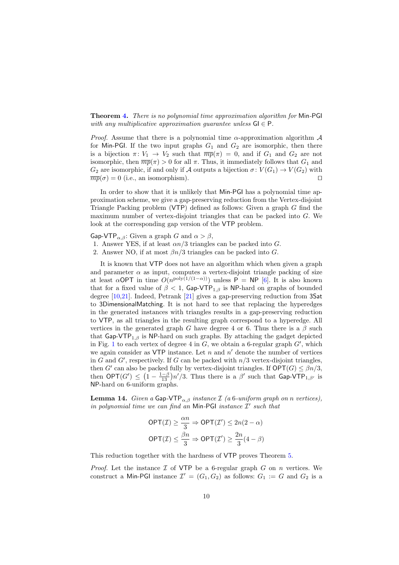Theorem [4.](#page-3-2) There is no polynomial time approximation algorithm for Min-PGI with any multiplicative approximation quarantee unless  $GI \in P$ .

*Proof.* Assume that there is a polynomial time  $\alpha$ -approximation algorithm  $\mathcal A$ for Min-PGI. If the two input graphs  $G_1$  and  $G_2$  are isomorphic, then there is a bijection  $\pi: V_1 \to V_2$  such that  $\overline{mp}(\pi) = 0$ , and if  $G_1$  and  $G_2$  are not isomorphic, then  $\overline{mp}(\pi) > 0$  for all  $\pi$ . Thus, it immediately follows that  $G_1$  and  $G_2$  are isomorphic, if and only if A outputs a bijection  $\sigma: V(G_1) \to V(G_2)$  with  $\overline{mp}(\sigma) = 0$  (i.e., an isomorphism). □

In order to show that it is unlikely that Min-PGI has a polynomial time approximation scheme, we give a gap-preserving reduction from the Vertex-disjoint Triangle Packing problem ( $VTP$ ) defined as follows: Given a graph G find the maximum number of vertex-disjoint triangles that can be packed into G. We look at the corresponding gap version of the VTP problem.

Gap-VTP<sub> $\alpha,\beta$ </sub>: Given a graph G and  $\alpha > \beta$ ,

- 1. Answer YES, if at least  $\alpha n/3$  triangles can be packed into G.
- 2. Answer NO, if at most  $\beta n/3$  triangles can be packed into G.

It is known that VTP does not have an algorithm which when given a graph and parameter  $\alpha$  as input, computes a vertex-disjoint triangle packing of size at least  $\alpha$ OPT in time  $O(n^{\text{poly}(1/(1-\alpha))})$  unless P = NP [\[6\]](#page--1-14). It is also known that for a fixed value of  $\beta < 1$ , Gap-VTP<sub>1, $\beta$ </sub> is NP-hard on graphs of bounded degree [\[10,](#page--1-15)[21\]](#page--1-16). Indeed, Petrank [\[21\]](#page--1-16) gives a gap-preserving reduction from 3Sat to 3DimensionalMatching. It is not hard to see that replacing the hyperedges in the generated instances with triangles results in a gap-preserving reduction to VTP, as all triangles in the resulting graph correspond to a hyperedge. All vertices in the generated graph G have degree 4 or 6. Thus there is a  $\beta$  such that Gap-VTP<sub>1,β</sub> is NP-hard on such graphs. By attaching the gadget depicted in Fig. [1](#page-10-0) to each vertex of degree 4 in  $G$ , we obtain a 6-regular graph  $G'$ , which we again consider as  $VTP$  instance. Let n and  $n'$  denote the number of vertices in G and G', respectively. If G can be packed with  $n/3$  vertex-disjoint triangles, then G' can also be packed fully by vertex-disjoint triangles. If  $\mathsf{OPT}(G) \leq \beta n/3$ , then  $\mathsf{OPT}(G') \leq \left(1 - \frac{1-\beta}{13}\right)n'/3$ . Thus there is a  $\beta'$  such that  $\mathsf{Gap}\text{-}\mathsf{VTP}_{1,\beta'}$  is NP-hard on 6-uniform graphs.

**Lemma 14.** Given a Gap-VTP<sub> $\alpha, \beta$ </sub> instance  $\mathcal{I}$  (a 6-uniform graph on n vertices), in polynomial time we can find an Min-PGI instance  $\mathcal{I}'$  such that

$$
\begin{aligned}\n\text{OPT}(\mathcal{I}) &\geq \frac{\alpha n}{3} \Rightarrow \text{OPT}(\mathcal{I}') \leq 2n(2-\alpha) \\
\text{OPT}(\mathcal{I}) &\leq \frac{\beta n}{3} \Rightarrow \text{OPT}(\mathcal{I}') \geq \frac{2n}{3}(4-\beta)\n\end{aligned}
$$

This reduction together with the hardness of VTP proves Theorem [5.](#page-3-3)

*Proof.* Let the instance  $\mathcal I$  of VTP be a 6-regular graph  $G$  on  $n$  vertices. We construct a Min-PGI instance  $\mathcal{I}' = (G_1, G_2)$  as follows:  $G_1 := G$  and  $G_2$  is a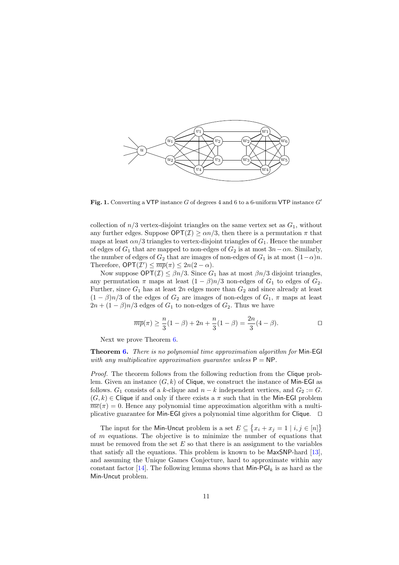

<span id="page-10-0"></span>Fig. 1. Converting a VTP instance  $G$  of degrees 4 and 6 to a 6-uniform VTP instance  $G'$ 

collection of  $n/3$  vertex-disjoint triangles on the same vertex set as  $G_1$ , without any further edges. Suppose  $\mathsf{OPT}(\mathcal{I}) \ge \alpha n/3$ , then there is a permutation  $\pi$  that maps at least  $\alpha n/3$  triangles to vertex-disjoint triangles of  $G_1$ . Hence the number of edges of  $G_1$  that are mapped to non-edges of  $G_2$  is at most  $3n-\alpha n$ . Similarly, the number of edges of  $G_2$  that are images of non-edges of  $G_1$  is at most  $(1-\alpha)n$ . Therefore,  $\mathsf{OPT}(\mathcal{I}') \leq \overline{mp}(\pi) \leq 2n(2-\alpha)$ .

Now suppose  $\mathsf{OPT}(\mathcal{I}) \leq \beta n/3$ . Since  $G_1$  has at most  $\beta n/3$  disjoint triangles, any permutation  $\pi$  maps at least  $(1 - \beta)n/3$  non-edges of  $G_1$  to edges of  $G_2$ . Further, since  $G_1$  has at least  $2n$  edges more than  $G_2$  and since already at least  $(1 - \beta)n/3$  of the edges of  $G_2$  are images of non-edges of  $G_1$ ,  $\pi$  maps at least  $2n + (1 - \beta)n/3$  edges of  $G_1$  to non-edges of  $G_2$ . Thus we have

$$
\overline{mp}(\pi) \ge \frac{n}{3}(1-\beta) + 2n + \frac{n}{3}(1-\beta) = \frac{2n}{3}(4-\beta).
$$

Next we prove Theorem [6.](#page-3-4)

Theorem [6.](#page-3-4) There is no polynomial time approximation algorithm for Min-EGI with any multiplicative approximation guarantee unless  $P = NP$ .

Proof. The theorem follows from the following reduction from the Clique problem. Given an instance  $(G, k)$  of Clique, we construct the instance of Min-EGI as follows.  $G_1$  consists of a k-clique and  $n - k$  independent vertices, and  $G_2 := G$ .  $(G, k) \in \mathsf{C}$  lique if and only if there exists a  $\pi$  such that in the Min-EGI problem  $\overline{me}(\pi) = 0$ . Hence any polynomial time approximation algorithm with a multiplicative guarantee for Min-EGI gives a polynomial time algorithm for Clique. □

The input for the Min-Uncut problem is a set  $E \subseteq \{x_i + x_j = 1 \mid i, j \in [n]\}$ of  $m$  equations. The objective is to minimize the number of equations that must be removed from the set  $E$  so that there is an assignment to the variables that satisfy all the equations. This problem is known to be MaxSNP-hard [\[13\]](#page--1-17), and assuming the Unique Games Conjecture, hard to approximate within any constant factor [\[14\]](#page--1-10). The following lemma shows that  $\text{Min-PGI}_k$  is as hard as the Min-Uncut problem.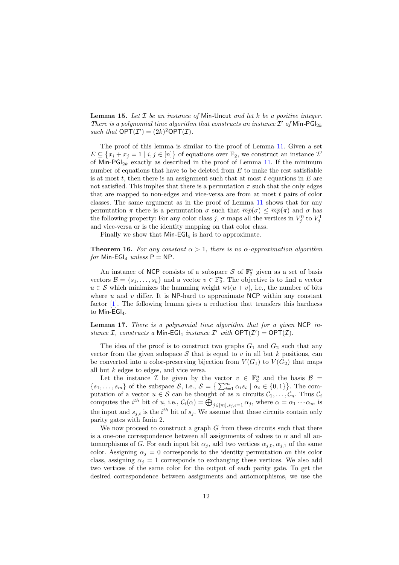**Lemma 15.** Let  $I$  be an instance of Min-Uncut and let  $k$  be a positive integer. There is a polynomial time algorithm that constructs an instance  $\mathcal{I}'$  of  $\mathsf{Min\text{-}PGl}_{2k}$ such that  $\mathsf{OPT}(\mathcal{I}') = (2k)^2 \mathsf{OPT}(\mathcal{I}).$ 

The proof of this lemma is similar to the proof of Lemma [11.](#page-6-0) Given a set  $E \subseteq \{x_i + x_j = 1 \mid i, j \in [n]\}$  of equations over  $\mathbb{F}_2$ , we construct an instance  $\mathcal{I}'$ of Min-PGI<sub>2k</sub> exactly as described in the proof of Lemma [11.](#page-6-0) If the minimum number of equations that have to be deleted from  $E$  to make the rest satisfiable is at most  $t$ , then there is an assignment such that at most  $t$  equations in  $E$  are not satisfied. This implies that there is a permutation  $\pi$  such that the only edges that are mapped to non-edges and vice-versa are from at most  $t$  pairs of color classes. The same argument as in the proof of Lemma [11](#page-6-0) shows that for any permutation  $\pi$  there is a permutation  $\sigma$  such that  $\overline{mp}(\sigma) \leq \overline{mp}(\pi)$  and  $\sigma$  has the following property: For any color class  $j, \sigma$  maps all the vertices in  $V_j^0$  to  $V_j^1$ and vice-versa or is the identity mapping on that color class.

<span id="page-11-1"></span>Finally we show that  $Min-EGI_4$  is hard to approximate.

**Theorem 16.** For any constant  $\alpha > 1$ , there is no  $\alpha$ -approximation algorithm for Min-EGI<sub>4</sub> unless  $P = NP$ .

An instance of NCP consists of a subspace  $S$  of  $\mathbb{F}_2^n$  given as a set of basis vectors  $\mathcal{B} = \{s_1, \ldots, s_k\}$  and a vector  $v \in \mathbb{F}_2^n$ . The objective is to find a vector  $u \in \mathcal{S}$  which minimizes the hamming weight wt $(u + v)$ , i.e., the number of bits where  $u$  and  $v$  differ. It is NP-hard to approximate NCP within any constant factor [\[1\]](#page-13-3). The following lemma gives a reduction that transfers this hardness to Min-EGI<sub>4</sub>.

<span id="page-11-0"></span>**Lemma 17.** There is a polynomial time algorithm that for a given  $NCP$  instance  $I$ , constructs a Min-EGI<sub>4</sub> instance  $I'$  with  $\mathsf{OPT}(I') = \mathsf{OPT}(I)$ .

The idea of the proof is to construct two graphs  $G_1$  and  $G_2$  such that any vector from the given subspace  $S$  that is equal to v in all but k positions, can be converted into a color-preserving bijection from  $V(G_1)$  to  $V(G_2)$  that maps all but k edges to edges, and vice versa.

Let the instance  $\mathcal I$  be given by the vector  $v \in \mathbb{F}_2^n$  and the basis  $\mathcal B =$  $\{s_1,\ldots,s_m\}$  of the subspace  $\mathcal{S}$ , i.e.,  $\mathcal{S} = \left\{\sum_{i=1}^m \alpha_i s_i \mid \alpha_i \in \{0,1\}\right\}$ . The computation of a vector  $u \in \mathcal{S}$  can be thought of as n circuits  $\mathcal{C}_1, \ldots, \mathcal{C}_n$ . Thus  $\mathcal{C}_i$ computes the *i*<sup>th</sup> bit of u, i.e.,  $C_i(\alpha) = \bigoplus_{j \in [m], s_{j,i}=1} \alpha_j$ , where  $\alpha = \alpha_1 \cdots \alpha_m$  is the input and  $s_{j,i}$  is the  $i^{th}$  bit of  $s_j$ . We assume that these circuits contain only parity gates with fanin 2.

We now proceed to construct a graph  $G$  from these circuits such that there is a one-one correspondence between all assignments of values to  $\alpha$  and all automorphisms of G. For each input bit  $\alpha_i$ , add two vertices  $\alpha_{i,0}, \alpha_{i,1}$  of the same color. Assigning  $\alpha_i = 0$  corresponds to the identity permutation on this color class, assigning  $\alpha_i = 1$  corresponds to exchanging these vertices. We also add two vertices of the same color for the output of each parity gate. To get the desired correspondence between assignments and automorphisms, we use the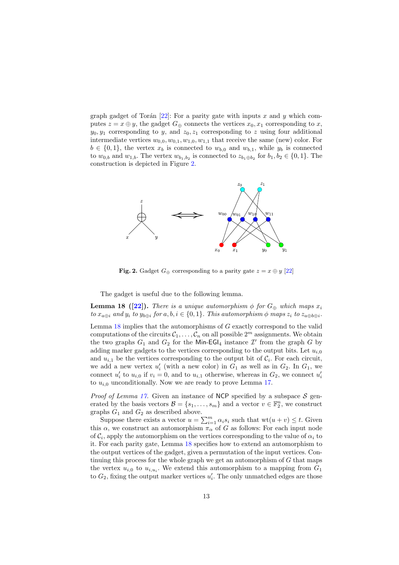graph gadget of Torán  $[22]$ : For a parity gate with inputs x and y which computes  $z = x \oplus y$ , the gadget  $G_{\oplus}$  connects the vertices  $x_0, x_1$  corresponding to x,  $y_0, y_1$  corresponding to y, and  $z_0, z_1$  corresponding to z using four additional intermediate vertices  $w_{0,0}, w_{0,1}, w_{1,0}, w_{1,1}$  that receive the same (new) color. For  $b \in \{0,1\}$ , the vertex  $x_b$  is connected to  $w_{b,0}$  and  $w_{b,1}$ , while  $y_b$  is connected to  $w_{0,b}$  and  $w_{1,b}$ . The vertex  $w_{b_1,b_2}$  is connected to  $z_{b_1\oplus b_2}$  for  $b_1, b_2 \in \{0,1\}$ . The construction is depicted in Figure [2.](#page-12-0)



<span id="page-12-1"></span><span id="page-12-0"></span>Fig. 2. Gadget  $G_{\oplus}$  corresponding to a parity gate  $z = x \oplus y$  [\[22\]](#page--1-18)

The gadget is useful due to the following lemma.

**Lemma 18 ([\[22\]](#page--1-18)).** There is a unique automorphism  $\phi$  for  $G_{\oplus}$  which maps  $x_i$ to  $x_{a\oplus i}$  and  $y_i$  to  $y_{b\oplus i}$  for  $a, b, i \in \{0, 1\}$ . This automorphism  $\phi$  maps  $z_i$  to  $z_{a\oplus b\oplus i}$ .

Lemma  $18$  implies that the automorphisms of  $G$  exactly correspond to the valid computations of the circuits  $C_1, \ldots, C_n$  on all possible  $2^m$  assignments. We obtain the two graphs  $G_1$  and  $G_2$  for the Min-EGI<sub>4</sub> instance  $\mathcal{I}'$  from the graph G by adding marker gadgets to the vertices corresponding to the output bits. Let  $u_{i,0}$ and  $u_{i,1}$  be the vertices corresponding to the output bit of  $\mathcal{C}_i$ . For each circuit, we add a new vertex  $u'_{i}$  (with a new color) in  $G_1$  as well as in  $G_2$ . In  $G_1$ , we connect  $u'_i$  to  $u_{i,0}$  if  $v_i = 0$ , and to  $u_{i,1}$  otherwise, whereas in  $G_2$ , we connect  $u'_i$ to  $u_{i,0}$  unconditionally. Now we are ready to prove Lemma [17.](#page-11-0)

*Proof of Lemma [17.](#page-11-0)* Given an instance of NCP specified by a subspace  $S$  generated by the basis vectors  $\mathcal{B} = \{s_1, \ldots, s_m\}$  and a vector  $v \in \mathbb{F}_2^n$ , we construct graphs  $G_1$  and  $G_2$  as described above.

Suppose there exists a vector  $u = \sum_{i=1}^{m} \alpha_i s_i$  such that  $\text{wt}(u + v) \leq t$ . Given this  $\alpha$ , we construct an automorphism  $\pi_{\alpha}$  of G as follows: For each input node of  $\mathcal{C}_i$ , apply the automorphism on the vertices corresponding to the value of  $\alpha_i$  to it. For each parity gate, Lemma [18](#page-12-1) specifies how to extend an automorphism to the output vertices of the gadget, given a permutation of the input vertices. Continuing this process for the whole graph we get an automorphism of  $G$  that maps the vertex  $u_{i,0}$  to  $u_{i,u_i}$ . We extend this automorphism to a mapping from  $G_1$ to  $G_2$ , fixing the output marker vertices  $u'_i$ . The only unmatched edges are those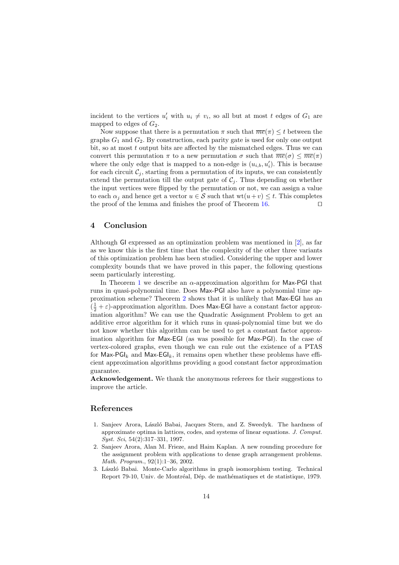incident to the vertices  $u'_i$  with  $u_i \neq v_i$ , so all but at most t edges of  $G_1$  are mapped to edges of  $G_2$ .

Now suppose that there is a permutation  $\pi$  such that  $\overline{me}(\pi) \leq t$  between the graphs  $G_1$  and  $G_2$ . By construction, each parity gate is used for only one output bit, so at most t output bits are affected by the mismatched edges. Thus we can convert this permutation  $\pi$  to a new permutation  $\sigma$  such that  $\overline{me}(\sigma) \leq \overline{me}(\pi)$ where the only edge that is mapped to a non-edge is  $(u_{i,b}, u'_i)$ . This is because for each circuit  $C_i$ , starting from a permutation of its inputs, we can consistently extend the permutation till the output gate of  $\mathcal{C}_i$ . Thus depending on whether the input vertices were flipped by the permutation or not, we can assign a value to each  $\alpha_i$  and hence get a vector  $u \in \mathcal{S}$  such that  $wt(u+v) \leq t$ . This completes the proof of the lemma and finishes the proof of Theorem [16.](#page-11-1) ⊓⊔

## <span id="page-13-2"></span>4 Conclusion

Although GI expressed as an optimization problem was mentioned in [\[2\]](#page-13-0), as far as we know this is the first time that the complexity of the other three variants of this optimization problem has been studied. Considering the upper and lower complexity bounds that we have proved in this paper, the following questions seem particularly interesting.

In Theorem [1](#page-2-0) we describe an  $\alpha$ -approximation algorithm for Max-PGI that runs in quasi-polynomial time. Does Max-PGI also have a polynomial time approximation scheme? Theorem [2](#page-2-1) shows that it is unlikely that Max-EGI has an  $(\frac{1}{2} + \varepsilon)$ -approximation algorithm. Does Max-EGI have a constant factor approximation algorithm? We can use the Quadratic Assignment Problem to get an additive error algorithm for it which runs in quasi-polynomial time but we do not know whether this algorithm can be used to get a constant factor approximation algorithm for Max-EGI (as was possible for Max-PGI). In the case of vertex-colored graphs, even though we can rule out the existence of a PTAS for Max-PGI<sub>k</sub> and Max-EGI<sub>k</sub>, it remains open whether these problems have efficient approximation algorithms providing a good constant factor approximation guarantee.

Acknowledgement. We thank the anonymous referees for their suggestions to improve the article.

#### References

- <span id="page-13-3"></span>1. Sanjeev Arora, László Babai, Jacques Stern, and Z. Sweedyk. The hardness of approximate optima in lattices, codes, and systems of linear equations. J. Comput. Syst. Sci, 54(2):317–331, 1997.
- <span id="page-13-0"></span>2. Sanjeev Arora, Alan M. Frieze, and Haim Kaplan. A new rounding procedure for the assignment problem with applications to dense graph arrangement problems. Math. Program., 92(1):1–36, 2002.
- <span id="page-13-1"></span>3. László Babai. Monte-Carlo algorithms in graph isomorphism testing. Technical Report 79-10, Univ. de Montréal, Dép. de mathématiques et de statistique, 1979.